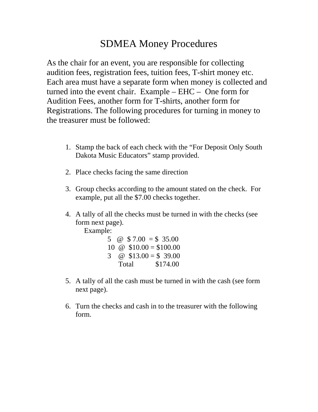## SDMEA Money Procedures

As the chair for an event, you are responsible for collecting audition fees, registration fees, tuition fees, T-shirt money etc. Each area must have a separate form when money is collected and turned into the event chair. Example – EHC – One form for Audition Fees, another form for T-shirts, another form for Registrations. The following procedures for turning in money to the treasurer must be followed:

- 1. Stamp the back of each check with the "For Deposit Only South Dakota Music Educators" stamp provided.
- 2. Place checks facing the same direction
- 3. Group checks according to the amount stated on the check. For example, put all the \$7.00 checks together.
- 4. A tally of all the checks must be turned in with the checks (see form next page).

Example:

|   | 5 @ \$ 7.00 = \$ 35.00 |                         |
|---|------------------------|-------------------------|
|   |                        | 10 @ $$10.00 = $100.00$ |
| 3 |                        | @ $$13.00 = $39.00$     |
|   | Total                  | \$174.00                |

- 5. A tally of all the cash must be turned in with the cash (see form next page).
- 6. Turn the checks and cash in to the treasurer with the following form.